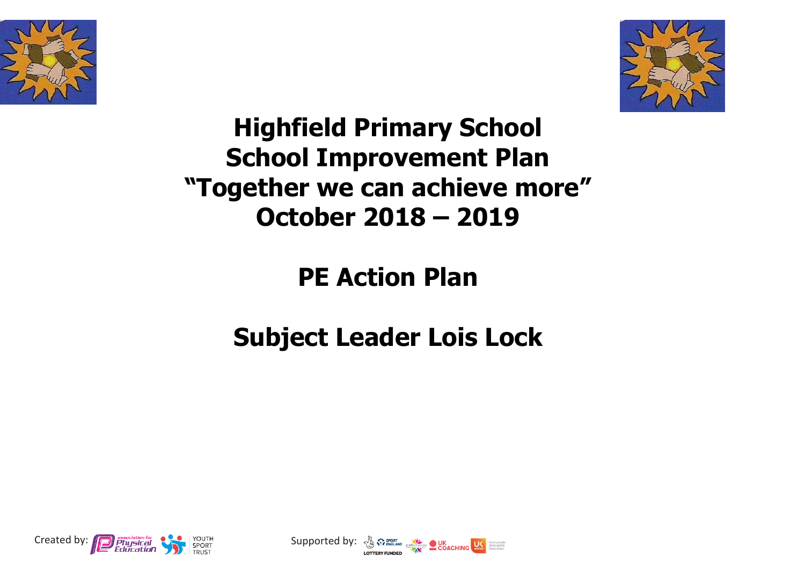



## **Highfield Primary School School Improvement Plan "Together we can achieve more" October 2018 – 2019**

## **PE Action Plan**

## **Subject Leader Lois Lock**



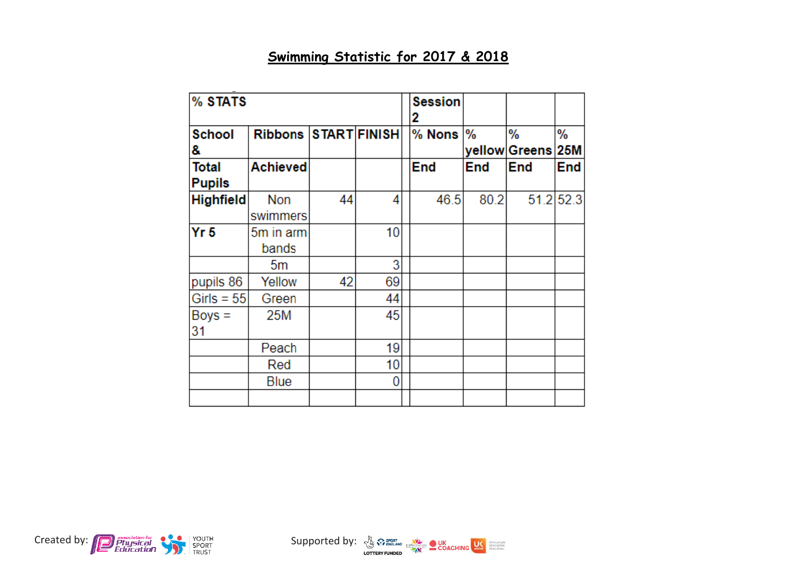## **Swimming Statistic for 2017 & 2018**

| % STATS                       |                      |    | <b>Session</b><br>2 |          |      |                    |                 |
|-------------------------------|----------------------|----|---------------------|----------|------|--------------------|-----------------|
| <b>School</b><br>8.           | Ribbons START FINISH |    |                     | $%$ Nons | $\%$ | %<br>yellow Greens | %<br><b>25M</b> |
| <b>Total</b><br><b>Pupils</b> | <b>Achieved</b>      |    |                     | End      | End  | End                | End             |
| Highfield                     | Non<br>swimmers      | 44 | 4                   | 46.5     | 80.2 |                    | 51.2 52.3       |
| Yr <sub>5</sub>               | 5m in arm<br>bands   |    | 10                  |          |      |                    |                 |
|                               | 5m                   |    | 3                   |          |      |                    |                 |
| pupils 86                     | Yellow               | 42 | 69                  |          |      |                    |                 |
| Girls = $55$                  | Green                |    | 44                  |          |      |                    |                 |
| $Boys =$<br>31                | 25M                  |    | 45                  |          |      |                    |                 |
|                               | Peach                |    | 19                  |          |      |                    |                 |
|                               | Red                  |    | 10                  |          |      |                    |                 |
|                               | Blue                 |    | 0                   |          |      |                    |                 |
|                               |                      |    |                     |          |      |                    |                 |

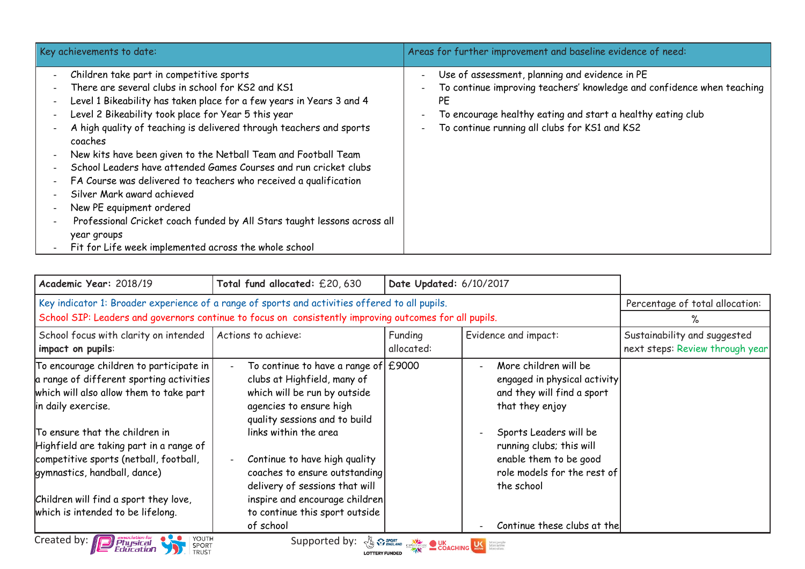| Key achievements to date:                                                                                                                                                                                                                                                                                                                                                                                                                                                                                                                                                                                                                                                                                                              | Areas for further improvement and baseline evidence of need:                                                                                                                                                                                   |
|----------------------------------------------------------------------------------------------------------------------------------------------------------------------------------------------------------------------------------------------------------------------------------------------------------------------------------------------------------------------------------------------------------------------------------------------------------------------------------------------------------------------------------------------------------------------------------------------------------------------------------------------------------------------------------------------------------------------------------------|------------------------------------------------------------------------------------------------------------------------------------------------------------------------------------------------------------------------------------------------|
| Children take part in competitive sports<br>There are several clubs in school for KS2 and KS1<br>Level 1 Bikeability has taken place for a few years in Years 3 and 4<br>Level 2 Bikeability took place for Year 5 this year<br>A high quality of teaching is delivered through teachers and sports<br>coaches<br>New kits have been given to the Netball Team and Football Team<br>School Leaders have attended Games Courses and run cricket clubs<br>FA Course was delivered to teachers who received a qualification<br>Silver Mark award achieved<br>New PE equipment ordered<br>Professional Cricket coach funded by All Stars taught lessons across all<br>year groups<br>Fit for Life week implemented across the whole school | Use of assessment, planning and evidence in PE<br>To continue improving teachers' knowledge and confidence when teaching<br>PE<br>To encourage healthy eating and start a healthy eating club<br>To continue running all clubs for KS1 and KS2 |

| Academic Year: 2018/19                                                                                                                                                                       | Total fund allocated: £20,630                                                                                                                                                              | Date Updated: 6/10/2017 |                                                                                                                           |                                                                 |
|----------------------------------------------------------------------------------------------------------------------------------------------------------------------------------------------|--------------------------------------------------------------------------------------------------------------------------------------------------------------------------------------------|-------------------------|---------------------------------------------------------------------------------------------------------------------------|-----------------------------------------------------------------|
| Key indicator 1: Broader experience of a range of sports and activities offered to all pupils.                                                                                               | Percentage of total allocation:                                                                                                                                                            |                         |                                                                                                                           |                                                                 |
| School SIP: Leaders and governors continue to focus on consistently improving outcomes for all pupils.                                                                                       |                                                                                                                                                                                            |                         |                                                                                                                           |                                                                 |
| School focus with clarity on intended<br>impact on pupils:                                                                                                                                   | Actions to achieve:                                                                                                                                                                        | Funding<br>allocated:   | Evidence and impact:                                                                                                      | Sustainability and suggested<br>next steps: Review through year |
| To encourage children to participate in<br>a range of different sporting activities<br>which will also allow them to take part<br>in daily exercise.                                         | To continue to have a range of $\pm$ 9000<br>clubs at Highfield, many of<br>which will be run by outside<br>agencies to ensure high<br>quality sessions and to build                       |                         | More children will be<br>$\sim$<br>engaged in physical activity<br>and they will find a sport<br>that they enjoy          |                                                                 |
| To ensure that the children in<br>Highfield are taking part in a range of<br>competitive sports (netball, football,<br>gymnastics, handball, dance)<br>Children will find a sport they love, | links within the area<br>Continue to have high quality<br>coaches to ensure outstanding<br>delivery of sessions that will<br>inspire and encourage children                                |                         | Sports Leaders will be<br>running clubs; this will<br>enable them to be good<br>role models for the rest of<br>the school |                                                                 |
| which is intended to be lifelong.                                                                                                                                                            | to continue this sport outside<br>of school                                                                                                                                                |                         | Continue these clubs at the                                                                                               |                                                                 |
| Created by: <b>D</b> Physical<br>YOUTH<br>SPORT<br>TRUST                                                                                                                                     | Supported by: $\sqrt[3]{x}$ $\sqrt[n]{x}$ sport spinite $\frac{1}{\sqrt[n]{\sqrt[n]{x}}}$ $\frac{1}{\sqrt[n]{x}}$ COACHING $\frac{1}{\sqrt[n]{x}}$ spinite spinite $\frac{1}{\sqrt[n]{x}}$ |                         |                                                                                                                           |                                                                 |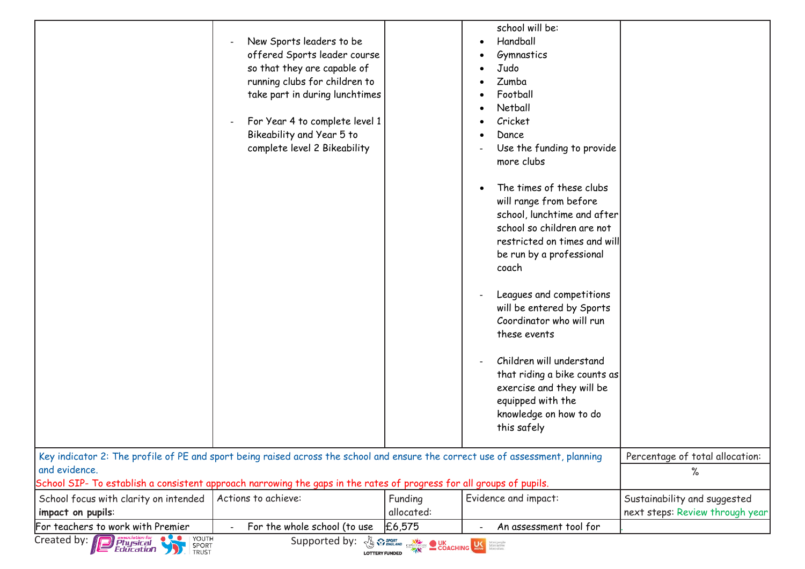|                                                                                                                                                                                                                                                                                                                                |                                                                 |            | school will be:              |                                 |  |  |
|--------------------------------------------------------------------------------------------------------------------------------------------------------------------------------------------------------------------------------------------------------------------------------------------------------------------------------|-----------------------------------------------------------------|------------|------------------------------|---------------------------------|--|--|
|                                                                                                                                                                                                                                                                                                                                | New Sports leaders to be<br>offered Sports leader course        |            | Handball<br>Gymnastics       |                                 |  |  |
|                                                                                                                                                                                                                                                                                                                                | so that they are capable of                                     |            | Judo<br>Zumba                |                                 |  |  |
|                                                                                                                                                                                                                                                                                                                                | running clubs for children to<br>take part in during lunchtimes |            | Football                     |                                 |  |  |
|                                                                                                                                                                                                                                                                                                                                |                                                                 |            | Netball                      |                                 |  |  |
|                                                                                                                                                                                                                                                                                                                                | For Year 4 to complete level 1                                  |            | Cricket                      |                                 |  |  |
|                                                                                                                                                                                                                                                                                                                                | Bikeability and Year 5 to                                       |            | Dance                        |                                 |  |  |
|                                                                                                                                                                                                                                                                                                                                | complete level 2 Bikeability                                    |            | Use the funding to provide   |                                 |  |  |
|                                                                                                                                                                                                                                                                                                                                |                                                                 |            | more clubs                   |                                 |  |  |
|                                                                                                                                                                                                                                                                                                                                |                                                                 |            | The times of these clubs     |                                 |  |  |
|                                                                                                                                                                                                                                                                                                                                |                                                                 |            | will range from before       |                                 |  |  |
|                                                                                                                                                                                                                                                                                                                                |                                                                 |            | school, lunchtime and after  |                                 |  |  |
|                                                                                                                                                                                                                                                                                                                                |                                                                 |            | school so children are not   |                                 |  |  |
|                                                                                                                                                                                                                                                                                                                                |                                                                 |            | restricted on times and will |                                 |  |  |
|                                                                                                                                                                                                                                                                                                                                |                                                                 |            | be run by a professional     |                                 |  |  |
|                                                                                                                                                                                                                                                                                                                                |                                                                 |            | coach                        |                                 |  |  |
|                                                                                                                                                                                                                                                                                                                                |                                                                 |            | Leagues and competitions     |                                 |  |  |
|                                                                                                                                                                                                                                                                                                                                |                                                                 |            | will be entered by Sports    |                                 |  |  |
|                                                                                                                                                                                                                                                                                                                                |                                                                 |            | Coordinator who will run     |                                 |  |  |
|                                                                                                                                                                                                                                                                                                                                |                                                                 |            | these events                 |                                 |  |  |
|                                                                                                                                                                                                                                                                                                                                |                                                                 |            | Children will understand     |                                 |  |  |
|                                                                                                                                                                                                                                                                                                                                |                                                                 |            | that riding a bike counts as |                                 |  |  |
|                                                                                                                                                                                                                                                                                                                                |                                                                 |            | exercise and they will be    |                                 |  |  |
|                                                                                                                                                                                                                                                                                                                                |                                                                 |            | equipped with the            |                                 |  |  |
|                                                                                                                                                                                                                                                                                                                                |                                                                 |            | knowledge on how to do       |                                 |  |  |
|                                                                                                                                                                                                                                                                                                                                |                                                                 |            | this safely                  |                                 |  |  |
| Key indicator 2: The profile of PE and sport being raised across the school and ensure the correct use of assessment, planning                                                                                                                                                                                                 |                                                                 |            |                              | Percentage of total allocation: |  |  |
| and evidence.                                                                                                                                                                                                                                                                                                                  |                                                                 |            |                              | ℅                               |  |  |
| School SIP- To establish a consistent approach narrowing the gaps in the rates of progress for all groups of pupils.                                                                                                                                                                                                           |                                                                 |            |                              |                                 |  |  |
| School focus with clarity on intended                                                                                                                                                                                                                                                                                          | Actions to achieve:                                             | Funding    | Evidence and impact:         | Sustainability and suggested    |  |  |
| impact on pupils:                                                                                                                                                                                                                                                                                                              |                                                                 | allocated: |                              | next steps: Review through year |  |  |
| For teachers to work with Premier                                                                                                                                                                                                                                                                                              | For the whole school (to use                                    | £6,575     | An assessment tool for       |                                 |  |  |
| Created by: <b>D</b> Physical<br>Education<br>YOUTH<br><b>A WEIGLAND CONCRETE DURE DE LA PRODUCTION DE LA PROPERTIE DE LA PRODUCTION DE LA PRODUCTION DE LA PRODUCTION DE LA PRODUCTION DE LA PRODUCTION DE LA PRODUCTION DE LA PRODUCTION DE LA PRODUCTION DE LA PRODUCTION DE LA PROD</b><br>Supported by:<br>SPORT<br>TRUST |                                                                 |            |                              |                                 |  |  |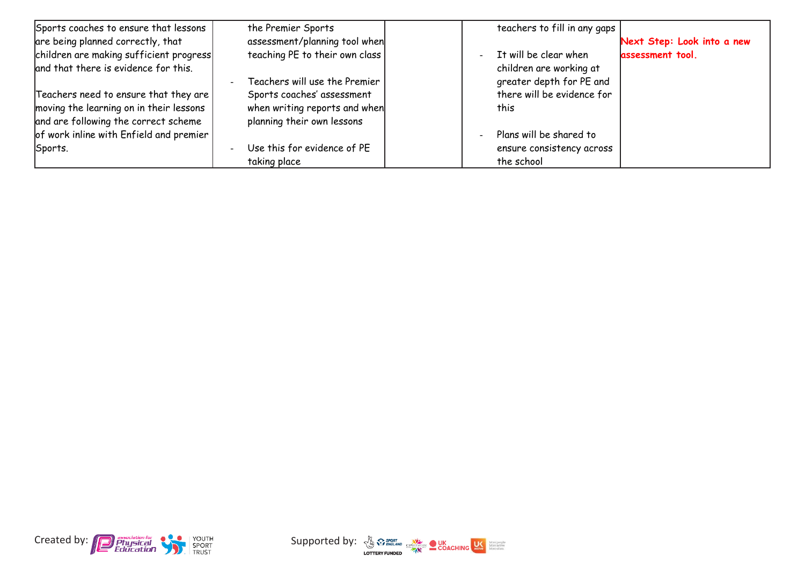| Sports coaches to ensure that lessons   | the Premier Sports             | teachers to fill in any gaps |                            |
|-----------------------------------------|--------------------------------|------------------------------|----------------------------|
| are being planned correctly, that       | assessment/planning tool when  |                              | Next Step: Look into a new |
| children are making sufficient progress | teaching PE to their own class | It will be clear when        | assessment tool.           |
| and that there is evidence for this.    |                                | children are working at      |                            |
|                                         | Teachers will use the Premier  | greater depth for PE and     |                            |
| Teachers need to ensure that they are   | Sports coaches' assessment     | there will be evidence for   |                            |
| moving the learning on in their lessons | when writing reports and when  | this                         |                            |
| and are following the correct scheme    | planning their own lessons     |                              |                            |
| of work inline with Enfield and premier |                                | Plans will be shared to      |                            |
| Sports.                                 | Use this for evidence of PE    | ensure consistency across    |                            |
|                                         | taking place                   | the school                   |                            |



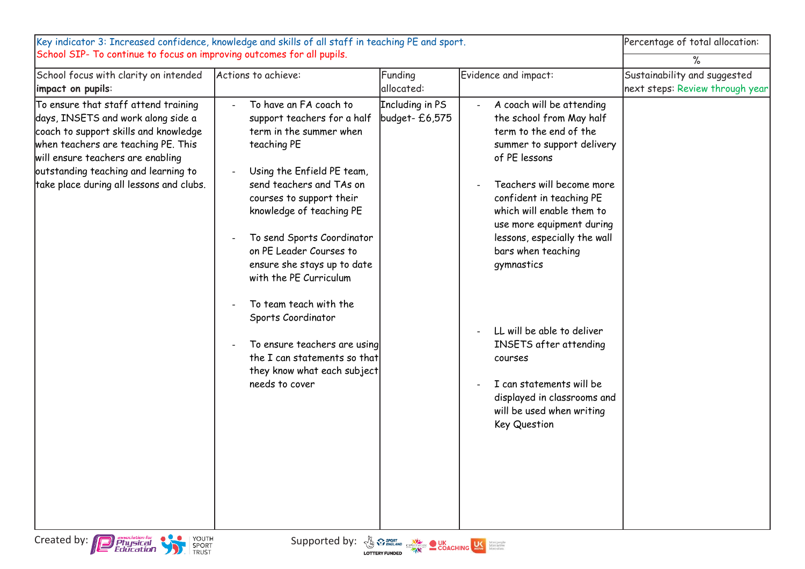| Key indicator 3: Increased confidence, knowledge and skills of all staff in teaching PE and sport.                                                                                                                                                                                  | Percentage of total allocation:                                                                                                                                                                                                                                                                                                                                                                                                                                                                                                            |                                   |                                                                                                                                                                                                                                                                                                                                                                                                                                                                                                  |                                                                 |
|-------------------------------------------------------------------------------------------------------------------------------------------------------------------------------------------------------------------------------------------------------------------------------------|--------------------------------------------------------------------------------------------------------------------------------------------------------------------------------------------------------------------------------------------------------------------------------------------------------------------------------------------------------------------------------------------------------------------------------------------------------------------------------------------------------------------------------------------|-----------------------------------|--------------------------------------------------------------------------------------------------------------------------------------------------------------------------------------------------------------------------------------------------------------------------------------------------------------------------------------------------------------------------------------------------------------------------------------------------------------------------------------------------|-----------------------------------------------------------------|
| School SIP- To continue to focus on improving outcomes for all pupils.                                                                                                                                                                                                              |                                                                                                                                                                                                                                                                                                                                                                                                                                                                                                                                            |                                   |                                                                                                                                                                                                                                                                                                                                                                                                                                                                                                  | ℅                                                               |
| School focus with clarity on intended<br>impact on pupils:                                                                                                                                                                                                                          | Actions to achieve:                                                                                                                                                                                                                                                                                                                                                                                                                                                                                                                        | Funding<br>allocated:             | Evidence and impact:                                                                                                                                                                                                                                                                                                                                                                                                                                                                             | Sustainability and suggested<br>next steps: Review through year |
| To ensure that staff attend training<br>days, INSETS and work along side a<br>coach to support skills and knowledge<br>when teachers are teaching PE. This<br>will ensure teachers are enabling<br>outstanding teaching and learning to<br>take place during all lessons and clubs. | To have an FA coach to<br>$\sim$<br>support teachers for a half<br>term in the summer when<br>teaching PE<br>Using the Enfield PE team,<br>send teachers and TAs on<br>courses to support their<br>knowledge of teaching PE<br>To send Sports Coordinator<br>on PE Leader Courses to<br>ensure she stays up to date<br>with the PE Curriculum<br>To team teach with the<br>Sports Coordinator<br>To ensure teachers are using<br>$\overline{\phantom{a}}$<br>the I can statements so that<br>they know what each subject<br>needs to cover | Including in PS<br>budget- £6,575 | A coach will be attending<br>the school from May half<br>term to the end of the<br>summer to support delivery<br>of PE lessons<br>Teachers will become more<br>confident in teaching PE<br>which will enable them to<br>use more equipment during<br>lessons, especially the wall<br>bars when teaching<br>gymnastics<br>LL will be able to deliver<br>INSETS after attending<br>courses<br>I can statements will be<br>displayed in classrooms and<br>will be used when writing<br>Key Question |                                                                 |
| Created by: <b>Physical</b><br>Education<br>YOUTH<br>SPORT<br>TRUST                                                                                                                                                                                                                 | Supported by: $\frac{y}{y}$ $\frac{y}{y}$ $\frac{y}{y}$ $\frac{y}{y}$ $\frac{y}{y}$ $\frac{y}{y}$ $\frac{y}{y}$ $\frac{y}{y}$ $\frac{y}{y}$ $\frac{y}{y}$ $\frac{y}{y}$ $\frac{y}{y}$ $\frac{y}{y}$ $\frac{y}{y}$ $\frac{y}{y}$ $\frac{y}{y}$ $\frac{y}{y}$ $\frac{y}{y}$ $\frac{y}{y}$ $\frac{y}{y}$ $\frac{y}{y}$                                                                                                                                                                                                                        |                                   |                                                                                                                                                                                                                                                                                                                                                                                                                                                                                                  |                                                                 |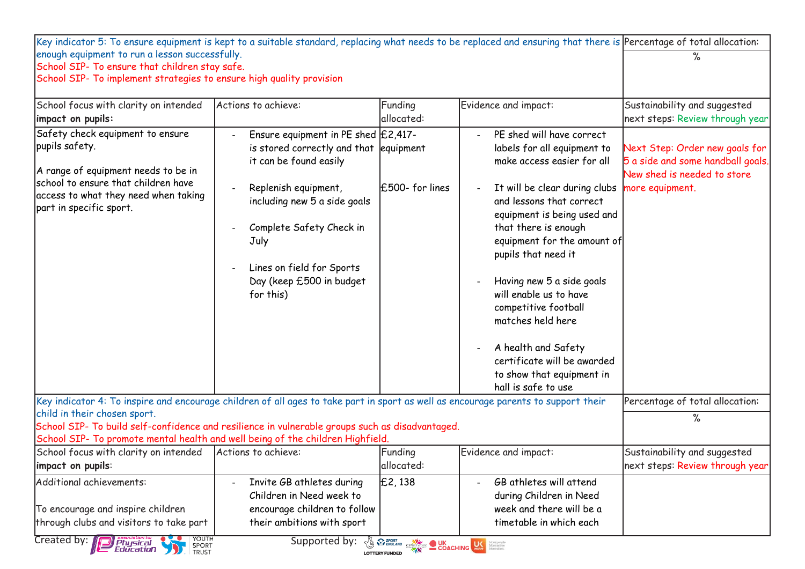| Key indicator 5: To ensure equipment is kept to a suitable standard, replacing what needs to be replaced and ensuring that there is Percentage of total allocation: |                                                                    |                    |                                                    |                                   |
|---------------------------------------------------------------------------------------------------------------------------------------------------------------------|--------------------------------------------------------------------|--------------------|----------------------------------------------------|-----------------------------------|
| enough equipment to run a lesson successfully.                                                                                                                      |                                                                    |                    |                                                    | ℅                                 |
| School SIP- To ensure that children stay safe.                                                                                                                      |                                                                    |                    |                                                    |                                   |
| School SIP- To implement strategies to ensure high quality provision                                                                                                |                                                                    |                    |                                                    |                                   |
| School focus with clarity on intended                                                                                                                               | Actions to achieve:                                                | Funding            | Evidence and impact:                               | Sustainability and suggested      |
| impact on pupils:                                                                                                                                                   |                                                                    | allocated:         |                                                    | next steps: Review through year   |
| Safety check equipment to ensure                                                                                                                                    | Ensure equipment in PE shed $E2,417$ -                             |                    | PE shed will have correct                          |                                   |
| pupils safety.                                                                                                                                                      | is stored correctly and that equipment                             |                    | labels for all equipment to                        | Next Step: Order new goals for    |
|                                                                                                                                                                     | it can be found easily                                             |                    | make access easier for all                         | 5 a side and some handball goals. |
| A range of equipment needs to be in<br>school to ensure that children have                                                                                          |                                                                    |                    |                                                    | New shed is needed to store       |
| access to what they need when taking                                                                                                                                | Replenish equipment,                                               | $£500$ - for lines | It will be clear during clubs                      | more equipment.                   |
| part in specific sport.                                                                                                                                             | including new 5 a side goals                                       |                    | and lessons that correct                           |                                   |
|                                                                                                                                                                     |                                                                    |                    | equipment is being used and                        |                                   |
|                                                                                                                                                                     | Complete Safety Check in                                           |                    | that there is enough                               |                                   |
|                                                                                                                                                                     | July                                                               |                    | equipment for the amount of<br>pupils that need it |                                   |
|                                                                                                                                                                     | Lines on field for Sports                                          |                    |                                                    |                                   |
|                                                                                                                                                                     | Day (keep £500 in budget                                           |                    | Having new 5 a side goals                          |                                   |
|                                                                                                                                                                     | for this)                                                          |                    | will enable us to have                             |                                   |
|                                                                                                                                                                     |                                                                    |                    | competitive football                               |                                   |
|                                                                                                                                                                     |                                                                    |                    | matches held here                                  |                                   |
|                                                                                                                                                                     |                                                                    |                    | A health and Safety                                |                                   |
|                                                                                                                                                                     |                                                                    |                    | certificate will be awarded                        |                                   |
|                                                                                                                                                                     |                                                                    |                    | to show that equipment in                          |                                   |
|                                                                                                                                                                     |                                                                    |                    | hall is safe to use                                |                                   |
| Key indicator 4: To inspire and encourage children of all ages to take part in sport as well as encourage parents to support their<br>child in their chosen sport.  |                                                                    |                    |                                                    | Percentage of total allocation:   |
| School SIP- To build self-confidence and resilience in vulnerable groups such as disadvantaged.                                                                     |                                                                    |                    |                                                    | ℅                                 |
| School SIP- To promote mental health and well being of the children Highfield.                                                                                      |                                                                    |                    |                                                    |                                   |
| School focus with clarity on intended                                                                                                                               | Actions to achieve:                                                | Funding            | Evidence and impact:                               | Sustainability and suggested      |
| impact on pupils:                                                                                                                                                   |                                                                    | allocated:         |                                                    | next steps: Review through year   |
| Additional achievements:                                                                                                                                            | Invite GB athletes during                                          | E2,138             | GB athletes will attend                            |                                   |
|                                                                                                                                                                     | Children in Need week to                                           |                    | during Children in Need                            |                                   |
| To encourage and inspire children                                                                                                                                   | encourage children to follow                                       |                    | week and there will be a                           |                                   |
| through clubs and visitors to take part                                                                                                                             | their ambitions with sport                                         |                    | timetable in which each                            |                                   |
| Created by: Engineer Physical Sport<br>YOUTH<br>SPORT                                                                                                               | Supported by: $\sqrt[n]{\frac{1}{N}} \overbrace{N}^{\text{sport}}$ |                    |                                                    |                                   |